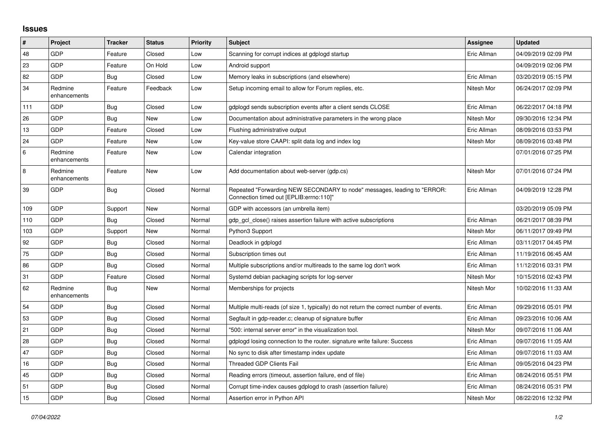## **Issues**

| #   | Project                 | <b>Tracker</b> | <b>Status</b> | <b>Priority</b> | <b>Subject</b>                                                                                                      | Assignee    | <b>Updated</b>      |
|-----|-------------------------|----------------|---------------|-----------------|---------------------------------------------------------------------------------------------------------------------|-------------|---------------------|
| 48  | GDP                     | Feature        | Closed        | Low             | Scanning for corrupt indices at gdplogd startup                                                                     | Eric Allman | 04/09/2019 02:09 PM |
| 23  | GDP                     | Feature        | On Hold       | Low             | Android support                                                                                                     |             | 04/09/2019 02:06 PM |
| 82  | GDP                     | <b>Bug</b>     | Closed        | Low             | Memory leaks in subscriptions (and elsewhere)                                                                       | Eric Allman | 03/20/2019 05:15 PM |
| 34  | Redmine<br>enhancements | Feature        | Feedback      | Low             | Setup incoming email to allow for Forum replies, etc.                                                               | Nitesh Mor  | 06/24/2017 02:09 PM |
| 111 | <b>GDP</b>              | <b>Bug</b>     | Closed        | Low             | gdplogd sends subscription events after a client sends CLOSE                                                        | Eric Allman | 06/22/2017 04:18 PM |
| 26  | GDP                     | <b>Bug</b>     | New           | Low             | Documentation about administrative parameters in the wrong place                                                    | Nitesh Mor  | 09/30/2016 12:34 PM |
| 13  | GDP                     | Feature        | Closed        | Low             | Flushing administrative output                                                                                      | Eric Allman | 08/09/2016 03:53 PM |
| 24  | GDP                     | Feature        | New           | Low             | Key-value store CAAPI: split data log and index log                                                                 | Nitesh Mor  | 08/09/2016 03:48 PM |
| 6   | Redmine<br>enhancements | Feature        | <b>New</b>    | Low             | Calendar integration                                                                                                |             | 07/01/2016 07:25 PM |
| 8   | Redmine<br>enhancements | Feature        | New           | Low             | Add documentation about web-server (gdp.cs)                                                                         | Nitesh Mor  | 07/01/2016 07:24 PM |
| 39  | GDP                     | Bug            | Closed        | Normal          | Repeated "Forwarding NEW SECONDARY to node" messages, leading to "ERROR:<br>"Connection timed out [EPLIB:errno:110] | Eric Allman | 04/09/2019 12:28 PM |
| 109 | GDP                     | Support        | New           | Normal          | GDP with accessors (an umbrella item)                                                                               |             | 03/20/2019 05:09 PM |
| 110 | GDP                     | <b>Bug</b>     | Closed        | Normal          | gdp gcl close() raises assertion failure with active subscriptions                                                  | Eric Allman | 06/21/2017 08:39 PM |
| 103 | <b>GDP</b>              | Support        | New           | Normal          | Python3 Support                                                                                                     | Nitesh Mor  | 06/11/2017 09:49 PM |
| 92  | GDP                     | <b>Bug</b>     | Closed        | Normal          | Deadlock in gdplogd                                                                                                 | Eric Allman | 03/11/2017 04:45 PM |
| 75  | <b>GDP</b>              | <b>Bug</b>     | Closed        | Normal          | Subscription times out                                                                                              | Eric Allman | 11/19/2016 06:45 AM |
| 86  | GDP                     | Bug            | Closed        | Normal          | Multiple subscriptions and/or multireads to the same log don't work                                                 | Eric Allman | 11/12/2016 03:31 PM |
| 31  | <b>GDP</b>              | Feature        | Closed        | Normal          | Systemd debian packaging scripts for log-server                                                                     | Nitesh Mor  | 10/15/2016 02:43 PM |
| 62  | Redmine<br>enhancements | <b>Bug</b>     | New           | Normal          | Memberships for projects                                                                                            | Nitesh Mor  | 10/02/2016 11:33 AM |
| 54  | GDP                     | Bug            | Closed        | Normal          | Multiple multi-reads (of size 1, typically) do not return the correct number of events.                             | Eric Allman | 09/29/2016 05:01 PM |
| 53  | GDP                     | <b>Bug</b>     | Closed        | Normal          | Segfault in gdp-reader.c; cleanup of signature buffer                                                               | Eric Allman | 09/23/2016 10:06 AM |
| 21  | GDP                     | <b>Bug</b>     | Closed        | Normal          | '500: internal server error" in the visualization tool.                                                             | Nitesh Mor  | 09/07/2016 11:06 AM |
| 28  | GDP                     | <b>Bug</b>     | Closed        | Normal          | gdplogd losing connection to the router, signature write failure: Success                                           | Eric Allman | 09/07/2016 11:05 AM |
| 47  | GDP                     | <b>Bug</b>     | Closed        | Normal          | No sync to disk after timestamp index update                                                                        | Eric Allman | 09/07/2016 11:03 AM |
| 16  | GDP                     | <b>Bug</b>     | Closed        | Normal          | <b>Threaded GDP Clients Fail</b>                                                                                    | Eric Allman | 09/05/2016 04:23 PM |
| 45  | <b>GDP</b>              | Bug            | Closed        | Normal          | Reading errors (timeout, assertion failure, end of file)                                                            | Eric Allman | 08/24/2016 05:51 PM |
| 51  | <b>GDP</b>              | Bug            | Closed        | Normal          | Corrupt time-index causes gdplogd to crash (assertion failure)                                                      | Eric Allman | 08/24/2016 05:31 PM |
| 15  | GDP                     | <b>Bug</b>     | Closed        | Normal          | Assertion error in Python API                                                                                       | Nitesh Mor  | 08/22/2016 12:32 PM |